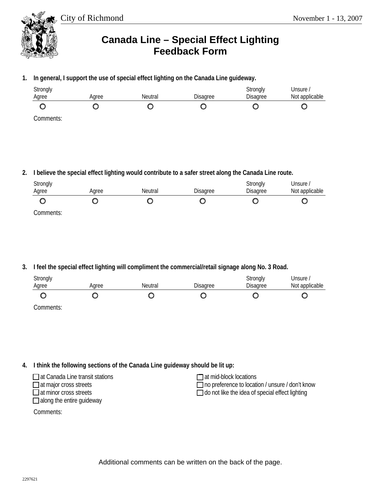City of Richmond November 1 - 13, 2007



## **Canada Line – Special Effect Lighting Feedback Form**

**1. In general, I support the use of special effect lighting on the Canada Line guideway.** 

| Strongly  |       |                |                 | Strongly | Unsure /       |
|-----------|-------|----------------|-----------------|----------|----------------|
| Agree     | Aaree | <b>Neutral</b> | <b>Disagree</b> | Disagree | Not applicable |
|           |       |                |                 |          |                |
| Comments: |       |                |                 |          |                |

**2. I believe the special effect lighting would contribute to a safer street along the Canada Line route.** 

| Strongly  |       |         |                 | Strongly | Unsure <i>I</i> |
|-----------|-------|---------|-----------------|----------|-----------------|
| Agree     | Aaree | Neutral | <b>Disagree</b> | Disagree | Not applicable  |
|           |       |         |                 |          |                 |
| Comments: |       |         |                 |          |                 |

**3. I feel the special effect lighting will compliment the commercial/retail signage along No. 3 Road.** 

| Strongly<br>Agree | Agree | Neutral | <b>Disagree</b> | Strongly<br>Disagree | Unsure /<br>Not applicable |
|-------------------|-------|---------|-----------------|----------------------|----------------------------|
|                   |       |         |                 |                      |                            |
| $C$ ampropriation |       |         |                 |                      |                            |

Comments:

**4. I think the following sections of the Canada Line guideway should be lit up:** 

| $\Box$ at Canada Line transit stations | $\Box$ at mid-block locations                          |
|----------------------------------------|--------------------------------------------------------|
| $\Box$ at major cross streets          | $\Box$ no preference to location / unsure / don't know |
| $\Box$ at minor cross streets          | $\Box$ do not like the idea of special effect lighting |
| $\Box$ along the entire guideway       |                                                        |

Comments:

Additional comments can be written on the back of the page.